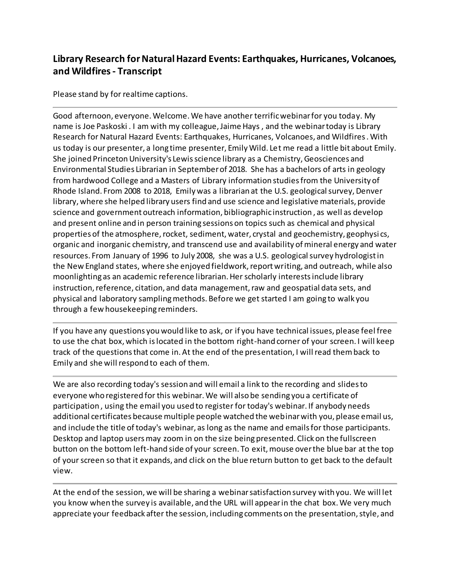## **Library Research for Natural Hazard Events: Earthquakes, Hurricanes, Volcanoes, and Wildfires- Transcript**

Please stand by for realtime captions.

Good afternoon, everyone. Welcome. We have another terrific webinar for you today. My name is Joe Paskoski . I am with my colleague, Jaime Hays , and the webinar today is Library Research for Natural Hazard Events: Earthquakes, Hurricanes, Volcanoes, and Wildfires . With us today is our presenter, a long time presenter, Emily Wild. Let me read a little bit about Emily. She joined Princeton University's Lewis science library as a Chemistry, Geosciences and Environmental Studies Librarian in September of 2018. She has a bachelors of arts in geology from hardwood College and a Masters of Library information studies from the University of Rhode Island. From 2008 to 2018, Emily was a librarian at the U.S. geological survey, Denver library, where she helped library users find and use science and legislative materials, provide science and government outreach information, bibliographic instruction , as well as develop and present online and in person training sessions on topics such as chemical and physical properties of the atmosphere, rocket, sediment, water, crystal and geochemistry, geophysi cs, organic and inorganic chemistry, and transcend use and availability of mineral energy and water resources. From January of 1996 to July 2008, she was a U.S. geological survey hydrologist in the New England states, where she enjoyed fieldwork, report writing, and outreach, while also moonlighting as an academic reference librarian. Her scholarly interests include library instruction, reference, citation, and data management, raw and geospatial data sets, and physical and laboratory sampling methods. Before we get started I am going to walk you through a few housekeeping reminders.

If you have any questions you would like to ask, or if you have technical issues, please feel free to use the chat box, which is located in the bottom right-hand corner of your screen. I will keep track of the questions that come in. At the end of the presentation, I will read them back to Emily and she will respond to each of them.

We are also recording today's session and will email a link to the recording and slides to everyone who registered for this webinar. We will also be sending you a certificate of participation , using the email you used to register for today's webinar. If anybody needs additional certificates because multiple people watched the webinar with you, please email us, and include the title of today's webinar, as long as the name and emails for those participants. Desktop and laptop users may zoom in on the size being presented. Click on the fullscreen button on the bottom left-hand side of your screen. To exit, mouse over the blue bar at the top of your screen so that it expands, and click on the blue return button to get back to the default view.

At the end of the session, we will be sharing a webinar satisfaction survey with you. We will let you know when the survey is available, and the URL will appear in the chat box. We very much appreciate your feedback after the session, including comments on the presentation, style, and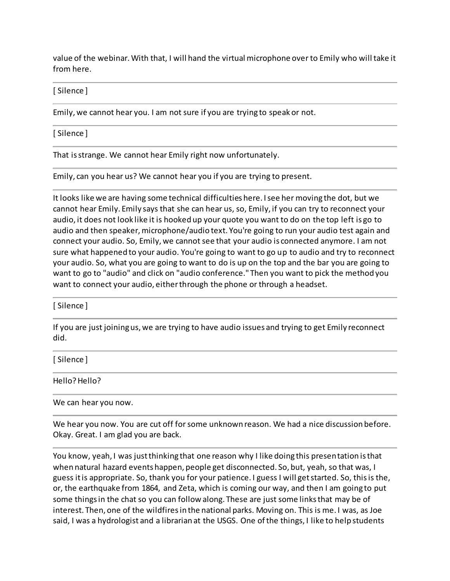value of the webinar. With that, I will hand the virtual microphone over to Emily who will take it from here.

[ Silence ]

Emily, we cannot hear you. I am not sure if you are trying to speak or not.

[ Silence ]

That is strange. We cannot hear Emily right now unfortunately.

Emily, can you hear us? We cannot hear you if you are trying to present.

It looks like we are having some technical difficulties here. I see her moving the dot, but we cannot hear Emily. Emily says that she can hear us, so, Emily, if you can try to reconnect your audio, it does not look like it is hooked up your quote you want to do on the top left is go to audio and then speaker, microphone/audio text. You're going to run your audio test again and connect your audio. So, Emily, we cannot see that your audio is connected anymore. I am not sure what happened to your audio. You're going to want to go up to audio and try to reconnect your audio. So, what you are going to want to do is up on the top and the bar you are going to want to go to "audio" and click on "audio conference." Then you want to pick the method you want to connect your audio, either through the phone or through a headset.

[ Silence ]

If you are just joining us, we are trying to have audio issues and trying to get Emily reconnect did.

[ Silence ]

Hello? Hello?

We can hear you now.

We hear you now. You are cut off for some unknown reason. We had a nice discussion before. Okay. Great. I am glad you are back.

You know, yeah, I was just thinking that one reason why I like doing this presentation is that when natural hazard events happen, people get disconnected. So, but, yeah, so that was, I guess it is appropriate. So, thank you for your patience. I guess I will get started. So, this is the, or, the earthquake from 1864, and Zeta, which is coming our way, and then I am going to put some things in the chat so you can follow along. These are just some links that may be of interest. Then, one of the wildfires in the national parks. Moving on. This is me. I was, as Joe said, I was a hydrologist and a librarian at the USGS. One of the things, I like to help students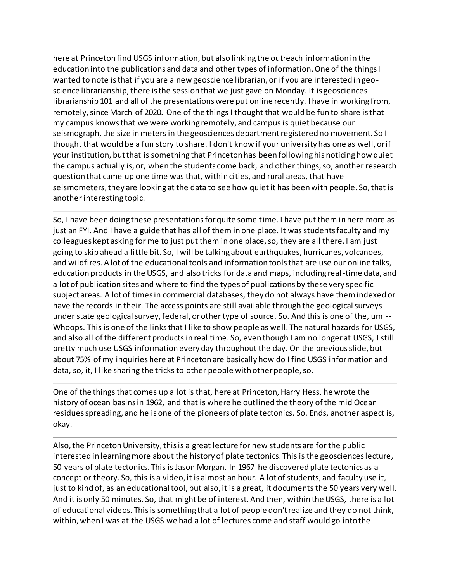here at Princeton find USGS information, but also linking the outreach information in the education into the publications and data and other types of information. One of the things I wanted to note is that if you are a new geoscience librarian, or if you are interested in geoscience librarianship, there is the session that we just gave on Monday. It is geosciences librarianship 101 and all of the presentations were put online recently. I have in working from, remotely, since March of 2020. One of the things I thought that would be fun to share is that my campus knows that we were working remotely, and campus is quiet because our seismograph, the size in meters in the geosciences department registered no movement. So I thought that would be a fun story to share. I don't know if your university has one as well, or if your institution, but that is something that Princeton has been following his noticing how quiet the campus actually is, or, when the students come back, and other things, so, another research question that came up one time was that, within cities, and rural areas, that have seismometers, they are looking at the data to see how quiet it has been with people. So, that is another interesting topic.

So, I have been doing these presentations for quite some time. I have put them in here more as just an FYI. And I have a guide that has all of them in one place. It was students faculty and my colleagues kept asking for me to just put them in one place, so, they are all there. I am just going to skip ahead a little bit. So, I will be talking about earthquakes, hurricanes, volcanoes, and wildfires. A lot of the educational tools and information tools that are use our online talks, education products in the USGS, and also tricks for data and maps, including real-time data, and a lot of publication sites and where to find the types of publications by these very specific subject areas. A lot of times in commercial databases, they do not always have them indexed or have the records in their. The access points are still available through the geological surveys under state geological survey, federal, or other type of source. So. And this is one of the, um -- Whoops. This is one of the links that I like to show people as well. The natural hazards for USGS, and also all of the different products in real time. So, even though I am no longer at USGS, I still pretty much use USGS information every day throughout the day. On the previous slide, but about 75% of my inquiries here at Princeton are basically how do I find USGS information and data, so, it, I like sharing the tricks to other people with other people, so.

One of the things that comes up a lot is that, here at Princeton, Harry Hess, he wrote the history of ocean basins in 1962, and that is where he outlined the theory of the mid Ocean residues spreading, and he is one of the pioneers of plate tectonics. So. Ends, another aspect is, okay.

Also, the Princeton University, this is a great lecture for new students are for the public interested in learning more about the history of plate tectonics. This is the geosciences lecture, 50 years of plate tectonics. This is Jason Morgan. In 1967 he discovered plate tectonics as a concept or theory. So, this is a video, it is almost an hour. A lot of students, and faculty use it, just to kind of, as an educational tool, but also, it is a great, it documents the 50 years very well. And it is only 50 minutes. So, that might be of interest. And then, within the USGS, there is a lot of educational videos. This is something that a lot of people don't realize and they do not think, within, when I was at the USGS we had a lot of lectures come and staff would go into the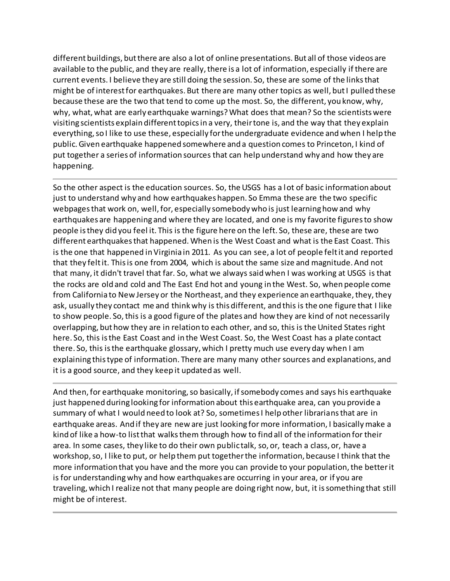different buildings, but there are also a lot of online presentations. But all of those videos are available to the public, and they are really, there is a lot of information, especially if there are current events. I believe they are still doing the session. So, these are some of the links that might be of interest for earthquakes. But there are many other topics as well, but I pulled these because these are the two that tend to come up the most. So, the different, you know, why, why, what, what are early earthquake warnings? What does that mean? So the scientists were visiting scientists explain different topics in a very, their tone is, and the way that they explain everything, so I like to use these, especially for the undergraduate evidence and when I help the public. Given earthquake happened somewhere and a question comes to Princeton, I kind of put together a series of information sources that can help understand why and how they are happening.

So the other aspect is the education sources. So, the USGS has a lot of basic information about just to understand why and how earthquakes happen. So Emma these are the two specific webpages that work on, well, for, especially somebody who is just learning how and why earthquakes are happening and where they are located, and one is my favorite figures to show people is they did you feel it. This is the figure here on the left. So, these are, these are two different earthquakes that happened. When is the West Coast and what is the East Coast. This is the one that happened in Virginia in 2011. As you can see, a lot of people felt it and reported that they felt it. This is one from 2004, which is about the same size and magnitude. And not that many, it didn't travel that far. So, what we always said when I was working at USGS is that the rocks are old and cold and The East End hot and young in the West. So, when people come from California to New Jersey or the Northeast, and they experience an earthquake, they, they ask, usually they contact me and think why is this different, and this is the one figure that I like to show people. So, this is a good figure of the plates and how they are kind of not necessarily overlapping, but how they are in relation to each other, and so, this is the United States right here. So, this is the East Coast and in the West Coast. So, the West Coast has a plate contact there. So, this is the earthquake glossary, which I pretty much use every day when I am explaining this type of information. There are many many other sources and explanations, and it is a good source, and they keep it updated as well.

And then, for earthquake monitoring, so basically, if somebody comes and says his earthquake just happened during looking for information about this earthquake area, can you provide a summary of what I would need to look at? So, sometimes I help other librarians that are in earthquake areas. And if they are new are just looking for more information, I basically make a kind of like a how-to list that walks them through how to find all of the information for their area. In some cases, they like to do their own public talk, so, or, teach a class, or, have a workshop, so, I like to put, or help them put together the information, because I think that the more information that you have and the more you can provide to your population, the better it is for understanding why and how earthquakes are occurring in your area, or if you are traveling, which I realize not that many people are doing right now, but, it is something that still might be of interest.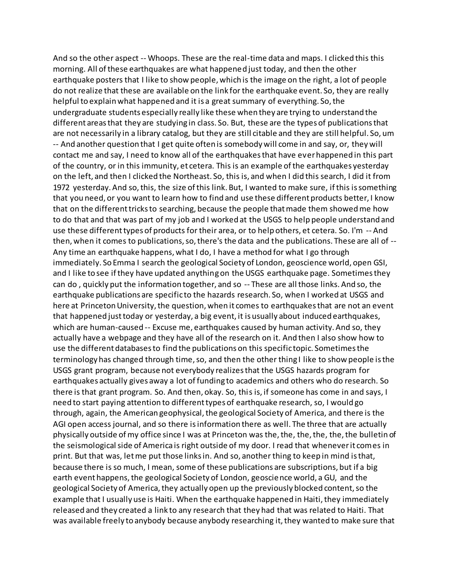And so the other aspect -- Whoops. These are the real-time data and maps. I clicked this this morning. All of these earthquakes are what happened just today, and then the other earthquake posters that I like to show people, which is the image on the right, a lot of people do not realize that these are available on the link for the earthquake event. So, they are really helpful to explain what happened and it is a great summary of everything. So, the undergraduate students especially really like these when they are trying to understand the different areas that they are studying in class. So. But, these are the types of publications that are not necessarily in a library catalog, but they are still citable and they are still helpful. So, um -- And another question that I get quite often is somebody will come in and say, or, they will contact me and say, I need to know all of the earthquakes that have ever happened in this part of the country, or in this immunity, et cetera. This is an example of the earthquakes yesterday on the left, and then I clicked the Northeast. So, this is, and when I did this search, I did it from 1972 yesterday. And so, this, the size of this link. But, I wanted to make sure, if this is something that you need, or you want to learn how to find and use these different products better, I know that on the different tricks to searching, because the people that made them showed me how to do that and that was part of my job and I worked at the USGS to help people understand and use these different types of products for their area, or to help others, et cetera. So. I'm -- And then, when it comes to publications, so, there's the data and the publications. These are all of -- Any time an earthquake happens, what I do, I have a method for what I go through immediately. So Emma I search the geological Society of London, geoscience world, open GSI, and I like to see if they have updated anything on the USGS earthquake page. Sometimes they can do , quickly put the information together, and so -- These are all those links. And so, the earthquake publications are specific to the hazards research. So, when I worked at USGS and here at Princeton University, the question, when it comes to earthquakes that are not an event that happened just today or yesterday, a big event, it is usually about induced earthquakes, which are human-caused -- Excuse me, earthquakes caused by human activity. And so, they actually have a webpage and they have all of the research on it. And then I also show how to use the different databases to find the publications on this specific topic. Sometimes the terminology has changed through time, so, and then the other thing I like to show people is the USGS grant program, because not everybody realizes that the USGS hazards program for earthquakes actually gives away a lot of funding to academics and others who do research. So there is that grant program. So. And then, okay. So, this is, if someone has come in and says, I need to start paying attention to different types of earthquake research, so, I would go through, again, the American geophysical, the geological Society of America, and there is the AGI open access journal, and so there is information there as well. The three that are actually physically outside of my office since I was at Princeton was the, the, the, the, the, the bulletin of the seismological side of America is right outside of my door. I read that whenever it comes in print. But that was, let me put those links in. And so, another thing to keep in mind is that, because there is so much, I mean, some of these publications are subscriptions, but if a big earth event happens, the geological Society of London, geoscience world, a GU, and the geological Society of America, they actually open up the previously blocked content, so the example that I usually use is Haiti. When the earthquake happened in Haiti, they immediately released and they created a link to any research that they had that was related to Haiti. That was available freely to anybody because anybody researching it, they wanted to make sure that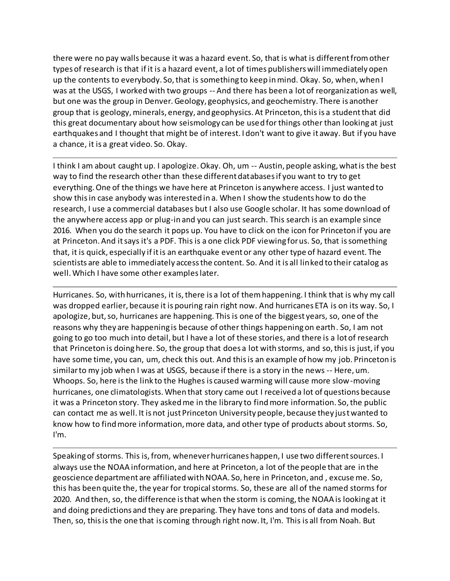there were no pay walls because it was a hazard event. So, that is what is different from other types of research is that if it is a hazard event, a lot of times publishers will immediately open up the contents to everybody. So, that is something to keep in mind. Okay. So, when, when I was at the USGS, I worked with two groups -- And there has been a lot of reorganization as well, but one was the group in Denver. Geology, geophysics, and geochemistry. There is another group that is geology, minerals, energy, and geophysics. At Princeton, this is a student that did this great documentary about how seismology can be used for things other than looking at just earthquakes and I thought that might be of interest. I don't want to give it away. But if you have a chance, it is a great video. So. Okay.

I think I am about caught up. I apologize. Okay. Oh, um -- Austin, people asking, what is the best way to find the research other than these different databases if you want to try to get everything. One of the things we have here at Princeton is anywhere access. I just wanted to show this in case anybody was interested in a. When I show the students how to do the research, I use a commercial databases but I also use Google scholar. It has some download of the anywhere access app or plug-in and you can just search. This search is an example since 2016. When you do the search it pops up. You have to click on the icon for Princeton if you are at Princeton. And it says it's a PDF. This is a one click PDF viewing for us. So, that is something that, it is quick, especially if it is an earthquake event or any other type of hazard event. The scientists are able to immediately access the content. So. And it is all linked to their catalog as well. Which I have some other examples later.

Hurricanes. So, with hurricanes, it is, there is a lot of them happening. I think that is why my call was dropped earlier, because it is pouring rain right now. And hurricanes ETA is on its way. So, I apologize, but, so, hurricanes are happening. This is one of the biggest years, so, one of the reasons why they are happening is because of other things happening on earth. So, I am not going to go too much into detail, but I have a lot of these stories, and there is a lot of research that Princeton is doing here. So, the group that does a lot with storms, and so, this is just, if you have some time, you can, um, check this out. And this is an example of how my job. Princeton is similar to my job when I was at USGS, because if there is a story in the news -- Here, um. Whoops. So, here is the link to the Hughes is caused warming will cause more slow-moving hurricanes, one climatologists. When that story came out I received a lot of questions because it was a Princeton story. They asked me in the library to find more information. So, the public can contact me as well. It is not just Princeton University people, because they just wanted to know how to find more information, more data, and other type of products about storms. So, I'm.

Speaking of storms. This is, from, whenever hurricanes happen, I use two different sources. I always use the NOAA information, and here at Princeton, a lot of the people that are in the geoscience department are affiliated with NOAA. So, here in Princeton, and , excuse me. So, this has been quite the, the year for tropical storms. So, these are all of the named storms for 2020. And then, so, the difference is that when the storm is coming, the NOAA is looking at it and doing predictions and they are preparing. They have tons and tons of data and models. Then, so, this is the one that is coming through right now. It, I'm. This is all from Noah. But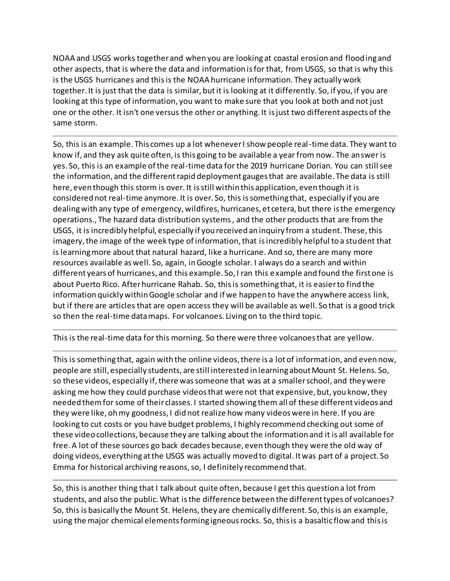NOAA and USGS works together and when you are looking at coastal erosion and flooding and other aspects, that is where the data and information is for that, from USGS, so that is why this is the USGS hurricanes and this is the NOAA hurricane information. They actually work together. It is just that the data is similar, but it is looking at it differently. So, if you, if you are looking at this type of information, you want to make sure that you look at both and not just one or the other. It isn't one versus the other or anything. It is just two different aspects of the same storm.

So, this is an example. This comes up a lot whenever I show people real-time data. They want to know if, and they ask quite often, is this going to be available a year from now. The answer is yes. So, this is an example of the real-time data for the 2019 hurricane Dorian. You can still see the information, and the different rapid deployment gauges that are available. The data is still here, even though this storm is over. It is still within this application, even though it is considered not real-time anymore. It is over. So, this is something that, especially if you are dealing with any type of emergency, wildfires, hurricanes, et cetera, but there is the emergency operations., The hazard data distribution systems , and the other products that are from the USGS, it is incredibly helpful, especially if you received an inquiry from a student. These, this imagery, the image of the week type of information, that is incredibly helpful to a student that is learning more about that natural hazard, like a hurricane. And so, there are many more resources available as well. So, again, in Google scholar. I always do a search and within different years of hurricanes, and this example. So, I ran this example and found the first one is about Puerto Rico. After hurricane Rahab. So, this is something that, it is easier to find the information quickly within Google scholar and if we happen to have the anywhere access link, but if there are articles that are open access they will be available as well. So that is a good trick so then the real-time data maps. For volcanoes. Living on to the third topic.

This is the real-time data for this morning. So there were three volcanoes that are yellow.

This is something that, again with the online videos, there is a lot of information, and even now, people are still, especially students, are still interested in learning about Mount St. Helens. So, so these videos, especially if, there was someone that was at a smaller school, and they were asking me how they could purchase videos that were not that expensive, but, you know, they needed them for some of their classes. I started showing them all of these different videos and they were like, oh my goodness, I did not realize how many videos were in here. If you are looking to cut costs or you have budget problems, I highly recommend checking out some of these video collections, because they are talking about the information and it is all available for free. A lot of these sources go back decades because, even though they were the old way of doing videos, everything at the USGS was actually moved to digital. It was part of a project. So Emma for historical archiving reasons, so, I definitely recommend that.

So, this is another thing that I talk about quite often, because I get this question a lot from students, and also the public. What is the difference between the different types of volcanoes? So, this is basically the Mount St. Helens, they are chemically different. So, this is an example, using the major chemical elements forming igneous rocks. So, this is a basaltic flow and this is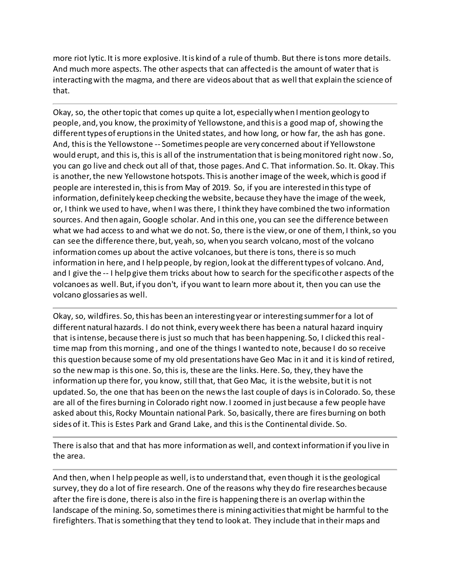more riot lytic. It is more explosive. It is kind of a rule of thumb. But there is tons more details. And much more aspects. The other aspects that can affected is the amount of water that is interacting with the magma, and there are videos about that as well that explain the science of that.

Okay, so, the other topic that comes up quite a lot, especially when I mention geology to people, and, you know, the proximity of Yellowstone, and this is a good map of, showing the different types of eruptions in the United states, and how long, or how far, the ash has gone. And, this is the Yellowstone -- Sometimes people are very concerned about if Yellowstone would erupt, and this is, this is all of the instrumentation that is being monitored right now. So, you can go live and check out all of that, those pages. And C. That information. So. It. Okay. This is another, the new Yellowstone hotspots. This is another image of the week, which is good if people are interested in, this is from May of 2019. So, if you are interested in this type of information, definitely keep checking the website, because they have the image of the week, or, I think we used to have, when I was there, I think they have combined the two information sources. And then again, Google scholar. And in this one, you can see the difference between what we had access to and what we do not. So, there is the view, or one of them, I think, so you can see the difference there, but, yeah, so, when you search volcano, most of the volcano information comes up about the active volcanoes, but there is tons, there is so much information in here, and I help people, by region, look at the different types of volcano. And, and I give the -- I help give them tricks about how to search for the specific other aspects of the volcanoes as well. But, if you don't, if you want to learn more about it, then you can use the volcano glossaries as well.

Okay, so, wildfires. So, this has been an interesting year or interesting summer for a lot of different natural hazards. I do not think, every week there has been a natural hazard inquiry that is intense, because there is just so much that has been happening. So, I clicked this realtime map from this morning , and one of the things I wanted to note, because I do so receive this question because some of my old presentations have Geo Mac in it and it is kind of retired, so the new map is this one. So, this is, these are the links. Here. So, they, they have the information up there for, you know, still that, that Geo Mac, it is the website, but it is not updated. So, the one that has been on the news the last couple of days is in Colorado. So, these are all of the fires burning in Colorado right now. I zoomed in just because a few people have asked about this, Rocky Mountain national Park. So, basically, there are fires burning on both sides of it. This is Estes Park and Grand Lake, and this is the Continental divide. So.

There is also that and that has more information as well, and context information if you live in the area.

And then, when I help people as well, is to understand that, even though it is the geological survey, they do a lot of fire research. One of the reasons why they do fire researches because after the fire is done, there is also in the fire is happening there is an overlap within the landscape of the mining. So, sometimes there is mining activities that might be harmful to the firefighters. That is something that they tend to look at. They include that in their maps and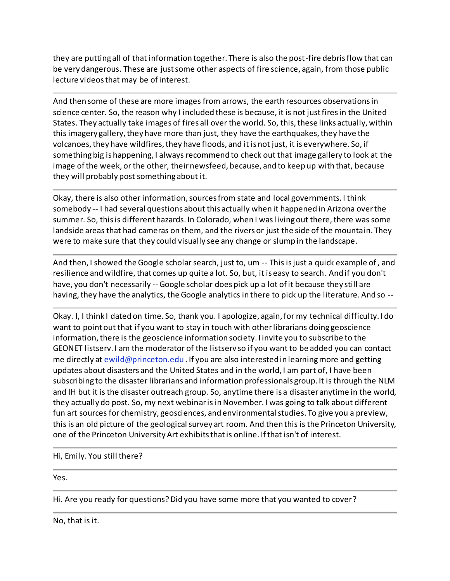they are putting all of that information together. There is also the post-fire debris flow that can be very dangerous. These are just some other aspects of fire science, again, from those public lecture videos that may be of interest.

And then some of these are more images from arrows, the earth resources observations in science center. So, the reason why I included these is because, it is not just fires in the United States. They actually take images of fires all over the world. So, this, these links actually, within this imagery gallery, they have more than just, they have the earthquakes, they have the volcanoes, they have wildfires, they have floods, and it is not just, it is everywhere. So, if something big is happening, I always recommend to check out that image gallery to look at the image of the week, or the other, their newsfeed, because, and to keep up with that, because they will probably post something about it.

Okay, there is also other information, sources from state and local governments. I think somebody -- I had several questions about this actually when it happened in Arizona over the summer. So, this is different hazards. In Colorado, when I was living out there, there was some landside areas that had cameras on them, and the rivers or just the side of the mountain. They were to make sure that they could visually see any change or slump in the landscape.

And then, I showed the Google scholar search, just to, um -- This is just a quick example of , and resilience and wildfire, that comes up quite a lot. So, but, it is easy to search. And if you don't have, you don't necessarily -- Google scholar does pick up a lot of it because they still are having, they have the analytics, the Google analytics in there to pick up the literature. And so --

Okay. I, I think I dated on time. So, thank you. I apologize, again, for my technical difficulty. I do want to point out that if you want to stay in touch with other librarians doing geoscience information, there is the geoscience information society. I invite you to subscribe to the GEONET listserv. I am the moderator of the listserv so if you want to be added you can contact me directly at [ewild@princeton.edu](mailto:ewild@princeton.edu) . If you are also interested in learning more and getting updates about disasters and the United States and in the world, I am part of, I have been subscribing to the disaster librarians and information professionals group. It is through the NLM and IH but it is the disaster outreach group. So, anytime there is a disaster anytime in the world, they actually do post. So, my next webinar is in November. I was going to talk about different fun art sources for chemistry, geosciences, and environmental studies. To give you a preview, this is an old picture of the geological survey art room. And then this is the Princeton University, one of the Princeton University Art exhibits that is online. If that isn't of interest.

Hi, Emily. You still there?

Yes.

Hi. Are you ready for questions? Did you have some more that you wanted to cover?

No, that is it.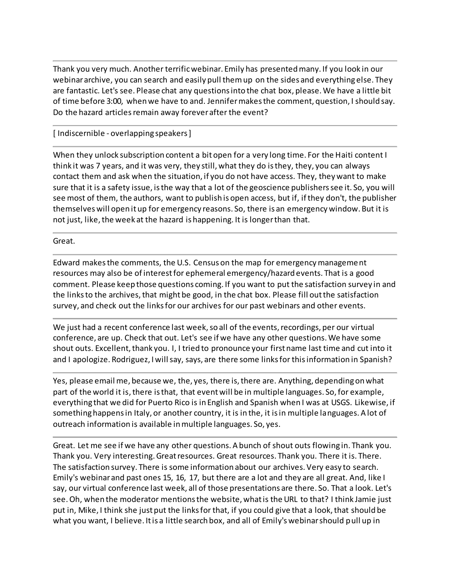Thank you very much. Another terrific webinar. Emily has presented many. If you look in our webinar archive, you can search and easily pull them up on the sides and everything else. They are fantastic. Let's see. Please chat any questions into the chat box, please. We have a little bit of time before 3:00, when we have to and. Jennifer makes the comment, question, I should say. Do the hazard articles remain away forever after the event?

[ Indiscernible - overlapping speakers ]

When they unlock subscription content a bit open for a very long time. For the Haiti content I think it was 7 years, and it was very, they still, what they do is they, they, you can always contact them and ask when the situation, if you do not have access. They, they want to make sure that it is a safety issue, is the way that a lot of the geoscience publishers see it. So, you will see most of them, the authors, want to publish is open access, but if, if they don't, the publisher themselves will open it up for emergency reasons. So, there is an emergency window. But it is not just, like, the week at the hazard is happening. It is longer than that.

Great.

Edward makes the comments, the U.S. Census on the map for emergency management resources may also be of interest for ephemeral emergency/hazard events. That is a good comment. Please keep those questions coming. If you want to put the satisfaction survey in and the links to the archives, that might be good, in the chat box. Please fill out the satisfaction survey, and check out the links for our archives for our past webinars and other events.

We just had a recent conference last week, so all of the events, recordings, per our virtual conference, are up. Check that out. Let's see if we have any other questions. We have some shout outs. Excellent, thank you. I, I tried to pronounce your first name last time and cut into it and I apologize. Rodriguez, I will say, says, are there some links for this information in Spanish?

Yes, please email me, because we, the, yes, there is, there are. Anything, depending on what part of the world it is, there is that, that event will be in multiple languages. So, for example, everything that we did for Puerto Rico is in English and Spanish when I was at USGS. Likewise, if something happens in Italy, or another country, it is in the, it is in multiple languages. A lot of outreach information is available in multiple languages. So, yes.

Great. Let me see if we have any other questions. A bunch of shout outs flowing in. Thank you. Thank you. Very interesting. Great resources. Great resources. Thank you. There it is. There. The satisfaction survey. There is some information about our archives. Very easy to search. Emily's webinar and past ones 15, 16, 17, but there are a lot and they are all great. And, like I say, our virtual conference last week, all of those presentations are there. So. That a look. Let's see. Oh, when the moderator mentions the website, what is the URL to that? I think Jamie just put in, Mike, I think she just put the links for that, if you could give that a look, that should be what you want, I believe. It is a little search box, and all of Emily's webinar should pull up in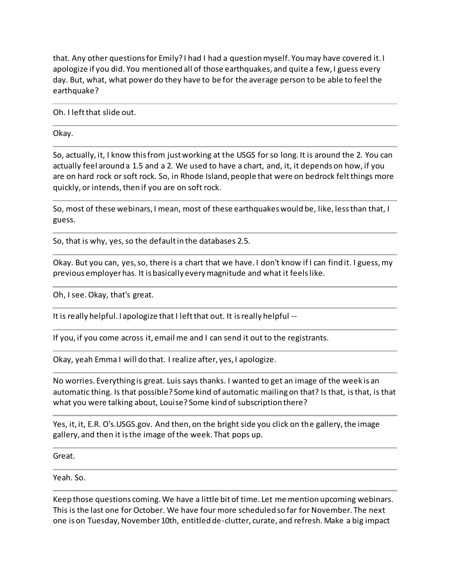that. Any other questions for Emily? I had I had a question myself. You may have covered it. I apologize if you did. You mentioned all of those earthquakes, and quite a few, I guess every day. But, what, what power do they have to be for the average person to be able to feel the earthquake?

Oh. I left that slide out.

Okay.

So, actually, it, I know this from just working at the USGS for so long. It is around the 2. You can actually feel around a 1.5 and a 2. We used to have a chart, and, it, it depends on how, if you are on hard rock or soft rock. So, in Rhode Island, people that were on bedrock felt things more quickly, or intends, then if you are on soft rock.

So, most of these webinars, I mean, most of these earthquakes would be, like, less than that, I guess.

So, that is why, yes, so the default in the databases 2.5.

Okay. But you can, yes, so, there is a chart that we have. I don't know if I can find it. I guess, my previous employer has. It is basically every magnitude and what it feels like.

Oh, I see. Okay, that's great.

It is really helpful. I apologize that I left that out. It is really helpful --

If you, if you come across it, email me and I can send it out to the registrants.

Okay, yeah Emma I will do that. I realize after, yes, I apologize.

No worries. Everything is great. Luis says thanks. I wanted to get an image of the week is an automatic thing. Is that possible? Some kind of automatic mailing on that? Is that, is that, is that what you were talking about, Louise? Some kind of subscription there?

Yes, it, it, E.R. O's.USGS.gov. And then, on the bright side you click on the gallery, the image gallery, and then it is the image of the week. That pops up.

Great.

Yeah. So.

Keep those questions coming. We have a little bit of time. Let me mention upcoming webinars. This is the last one for October. We have four more scheduled so far for November. The next one is on Tuesday, November 10th, entitled de-clutter, curate, and refresh. Make a big impact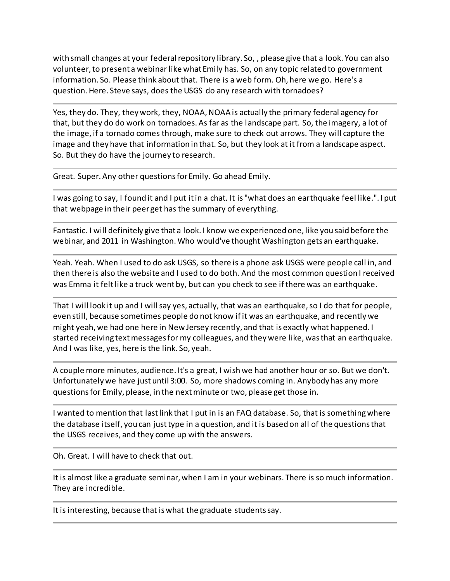with small changes at your federal repository library. So, , please give that a look. You can also volunteer, to present a webinar like what Emily has. So, on any topic related to government information. So. Please think about that. There is a web form. Oh, here we go. Here's a question. Here. Steve says, does the USGS do any research with tornadoes?

Yes, they do. They, they work, they, NOAA, NOAA is actually the primary federal agency for that, but they do do work on tornadoes. As far as the landscape part. So, the imagery, a lot of the image, if a tornado comes through, make sure to check out arrows. They will capture the image and they have that information in that. So, but they look at it from a landscape aspect. So. But they do have the journey to research.

Great. Super. Any other questions for Emily. Go ahead Emily.

I was going to say, I found it and I put it in a chat. It is "what does an earthquake feel like.". I put that webpage in their peer get has the summary of everything.

Fantastic. I will definitely give that a look. I know we experienced one, like you said before the webinar, and 2011 in Washington. Who would've thought Washington gets an earthquake.

Yeah. Yeah. When I used to do ask USGS, so there is a phone ask USGS were people call in, and then there is also the website and I used to do both. And the most common question I received was Emma it felt like a truck went by, but can you check to see if there was an earthquake.

That I will look it up and I will say yes, actually, that was an earthquake, so I do that for people, even still, because sometimes people do not know if it was an earthquake, and recently we might yeah, we had one here in New Jersey recently, and that is exactly what happened. I started receiving text messages for my colleagues, and they were like, was that an earthquake. And I was like, yes, here is the link. So, yeah.

A couple more minutes, audience. It's a great, I wish we had another hour or so. But we don't. Unfortunately we have just until 3:00. So, more shadows coming in. Anybody has any more questions for Emily, please, in the next minute or two, please get those in.

I wanted to mention that last link that I put in is an FAQ database. So, that is something where the database itself, you can just type in a question, and it is based on all of the questions that the USGS receives, and they come up with the answers.

Oh. Great. I will have to check that out.

It is almost like a graduate seminar, when I am in your webinars. There is so much information. They are incredible.

It is interesting, because that is what the graduate students say.